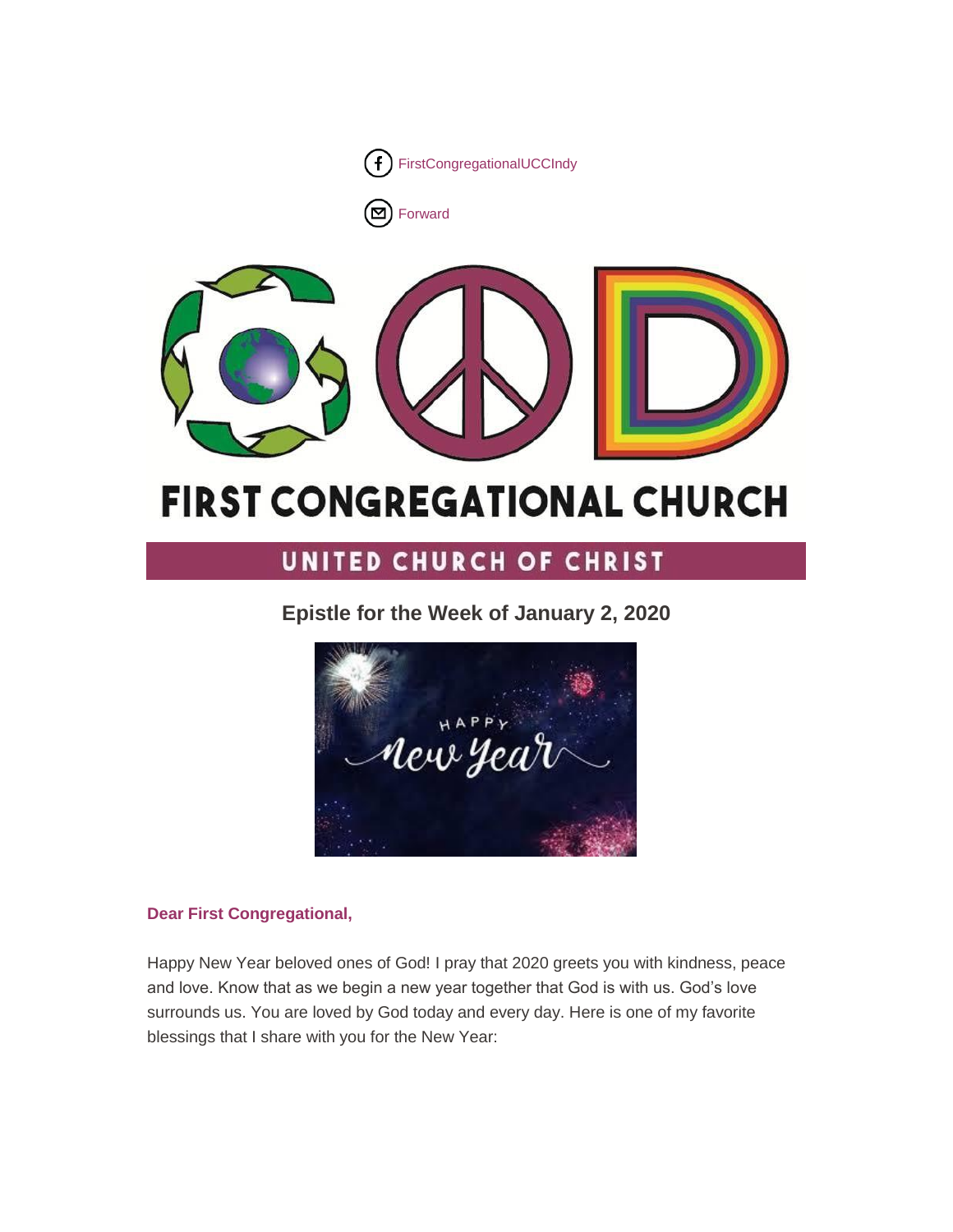

 $\overline{\Xi}$ [Forward](http://us16.forward-to-friend.com/forward?u=7a2e4c501545b6d78729a64a1&id=8b5e25b58c&e=%5bUNIQID%5d)



# **FIRST CONGREGATIONAL CHURCH**

# UNITED CHURCH OF CHRIST

**Epistle for the Week of January 2, 2020**



# **Dear First Congregational,**

Happy New Year beloved ones of God! I pray that 2020 greets you with kindness, peace and love. Know that as we begin a new year together that God is with us. God's love surrounds us. You are loved by God today and every day. Here is one of my favorite blessings that I share with you for the New Year: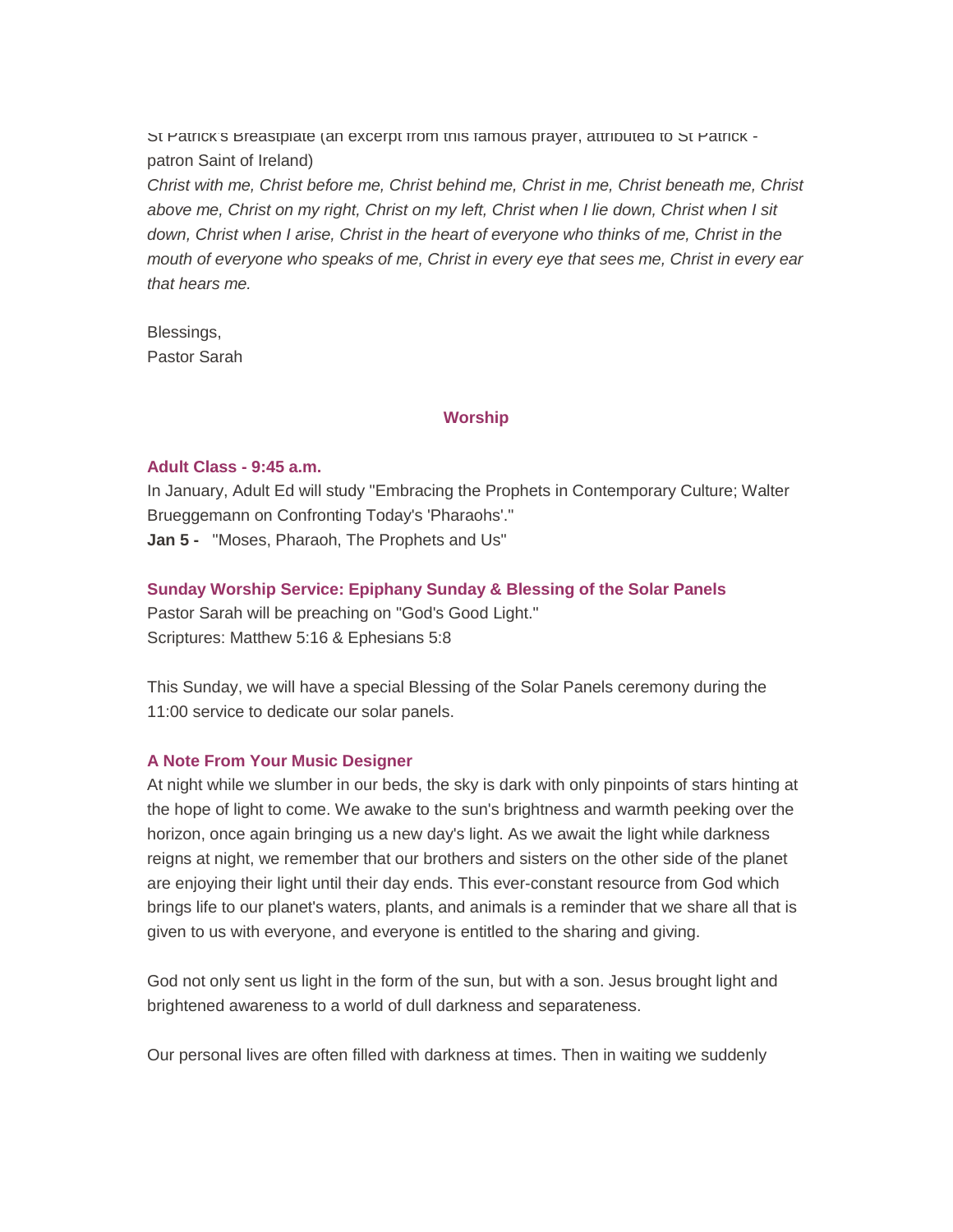St Patrick's Breastplate (an excerpt from this famous prayer, attributed to St Patrick patron Saint of Ireland)

*Christ with me, Christ before me, Christ behind me, Christ in me, Christ beneath me, Christ above me, Christ on my right, Christ on my left, Christ when I lie down, Christ when I sit down, Christ when I arise, Christ in the heart of everyone who thinks of me, Christ in the mouth of everyone who speaks of me, Christ in every eye that sees me, Christ in every ear that hears me.*

Blessings, Pastor Sarah

## **Worship**

#### **Adult Class - 9:45 a.m.**

In January, Adult Ed will study "Embracing the Prophets in Contemporary Culture; Walter Brueggemann on Confronting Today's 'Pharaohs'." **Jan 5 -** "Moses, Pharaoh, The Prophets and Us"

## **Sunday Worship Service: Epiphany Sunday & Blessing of the Solar Panels**

Pastor Sarah will be preaching on "God's Good Light." Scriptures: Matthew 5:16 & Ephesians 5:8

This Sunday, we will have a special Blessing of the Solar Panels ceremony during the 11:00 service to dedicate our solar panels.

## **A Note From Your Music Designer**

At night while we slumber in our beds, the sky is dark with only pinpoints of stars hinting at the hope of light to come. We awake to the sun's brightness and warmth peeking over the horizon, once again bringing us a new day's light. As we await the light while darkness reigns at night, we remember that our brothers and sisters on the other side of the planet are enjoying their light until their day ends. This ever-constant resource from God which brings life to our planet's waters, plants, and animals is a reminder that we share all that is given to us with everyone, and everyone is entitled to the sharing and giving.

God not only sent us light in the form of the sun, but with a son. Jesus brought light and brightened awareness to a world of dull darkness and separateness.

Our personal lives are often filled with darkness at times. Then in waiting we suddenly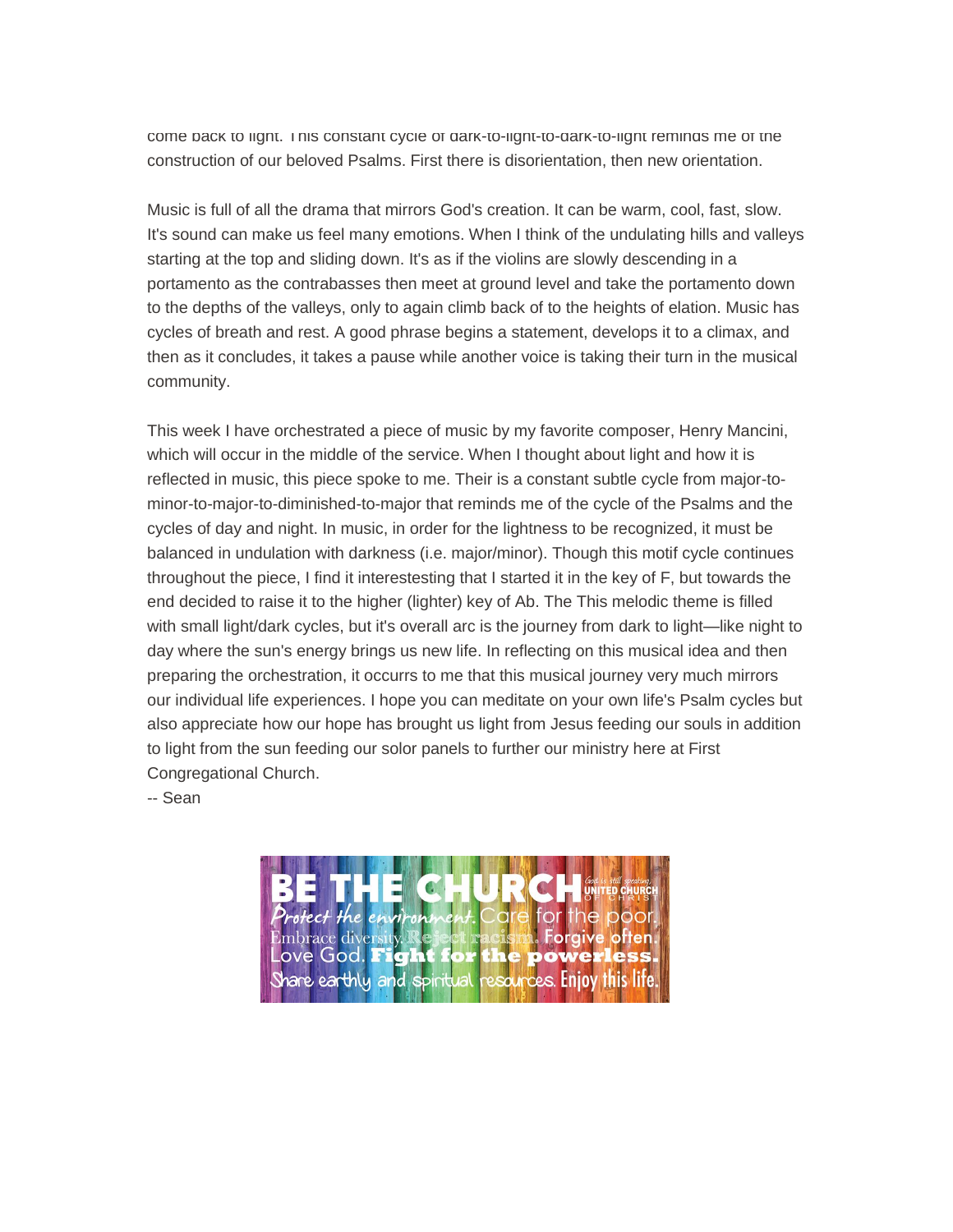come back to light. This constant cycle of dark-to-light-to-dark-to-light reminds me of the construction of our beloved Psalms. First there is disorientation, then new orientation.

Music is full of all the drama that mirrors God's creation. It can be warm, cool, fast, slow. It's sound can make us feel many emotions. When I think of the undulating hills and valleys starting at the top and sliding down. It's as if the violins are slowly descending in a portamento as the contrabasses then meet at ground level and take the portamento down to the depths of the valleys, only to again climb back of to the heights of elation. Music has cycles of breath and rest. A good phrase begins a statement, develops it to a climax, and then as it concludes, it takes a pause while another voice is taking their turn in the musical community.

This week I have orchestrated a piece of music by my favorite composer, Henry Mancini, which will occur in the middle of the service. When I thought about light and how it is reflected in music, this piece spoke to me. Their is a constant subtle cycle from major-tominor-to-major-to-diminished-to-major that reminds me of the cycle of the Psalms and the cycles of day and night. In music, in order for the lightness to be recognized, it must be balanced in undulation with darkness (i.e. major/minor). Though this motif cycle continues throughout the piece, I find it interestesting that I started it in the key of F, but towards the end decided to raise it to the higher (lighter) key of Ab. The This melodic theme is filled with small light/dark cycles, but it's overall arc is the journey from dark to light—like night to day where the sun's energy brings us new life. In reflecting on this musical idea and then preparing the orchestration, it occurrs to me that this musical journey very much mirrors our individual life experiences. I hope you can meditate on your own life's Psalm cycles but also appreciate how our hope has brought us light from Jesus feeding our souls in addition to light from the sun feeding our solor panels to further our ministry here at First Congregational Church.

-- Sean

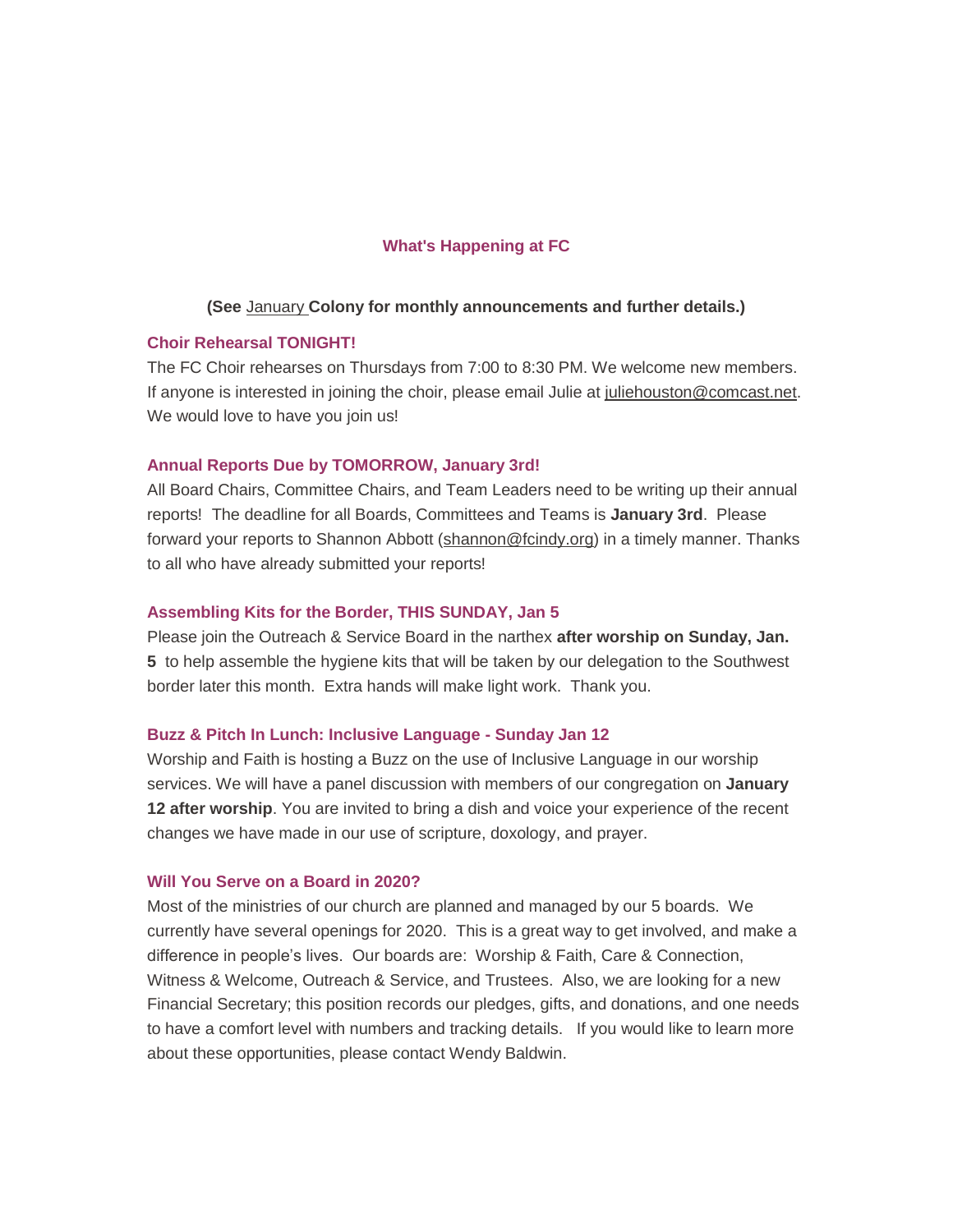#### **What's Happening at FC**

#### **(See** [January](https://gallery.mailchimp.com/7a2e4c501545b6d78729a64a1/files/a1c30715-86c5-4bc3-b8d0-e502cb3a5d0f/January_2020.pdf) **Colony for monthly announcements and further details.)**

#### **Choir Rehearsal TONIGHT!**

The FC Choir rehearses on Thursdays from 7:00 to 8:30 PM. We welcome new members. If anyone is interested in joining the choir, please email Julie at [juliehouston@comcast.net.](mailto:juliehouston@comcast.net) We would love to have you join us!

#### **Annual Reports Due by TOMORROW, January 3rd!**

All Board Chairs, Committee Chairs, and Team Leaders need to be writing up their annual reports! The deadline for all Boards, Committees and Teams is **January 3rd**. Please forward your reports to Shannon Abbott [\(shannon@fcindy.org\)](mailto:shannon@fcindy.org) in a timely manner. Thanks to all who have already submitted your reports!

#### **Assembling Kits for the Border, THIS SUNDAY, Jan 5**

Please join the Outreach & Service Board in the narthex **after worship on Sunday, Jan. 5** to help assemble the hygiene kits that will be taken by our delegation to the Southwest border later this month. Extra hands will make light work. Thank you.

#### **Buzz & Pitch In Lunch: Inclusive Language - Sunday Jan 12**

Worship and Faith is hosting a Buzz on the use of Inclusive Language in our worship services. We will have a panel discussion with members of our congregation on **January 12 after worship**. You are invited to bring a dish and voice your experience of the recent changes we have made in our use of scripture, doxology, and prayer.

#### **Will You Serve on a Board in 2020?**

Most of the ministries of our church are planned and managed by our 5 boards. We currently have several openings for 2020. This is a great way to get involved, and make a difference in people's lives. Our boards are: Worship & Faith, Care & Connection, Witness & Welcome, Outreach & Service, and Trustees. Also, we are looking for a new Financial Secretary; this position records our pledges, gifts, and donations, and one needs to have a comfort level with numbers and tracking details. If you would like to learn more about these opportunities, please contact Wendy Baldwin.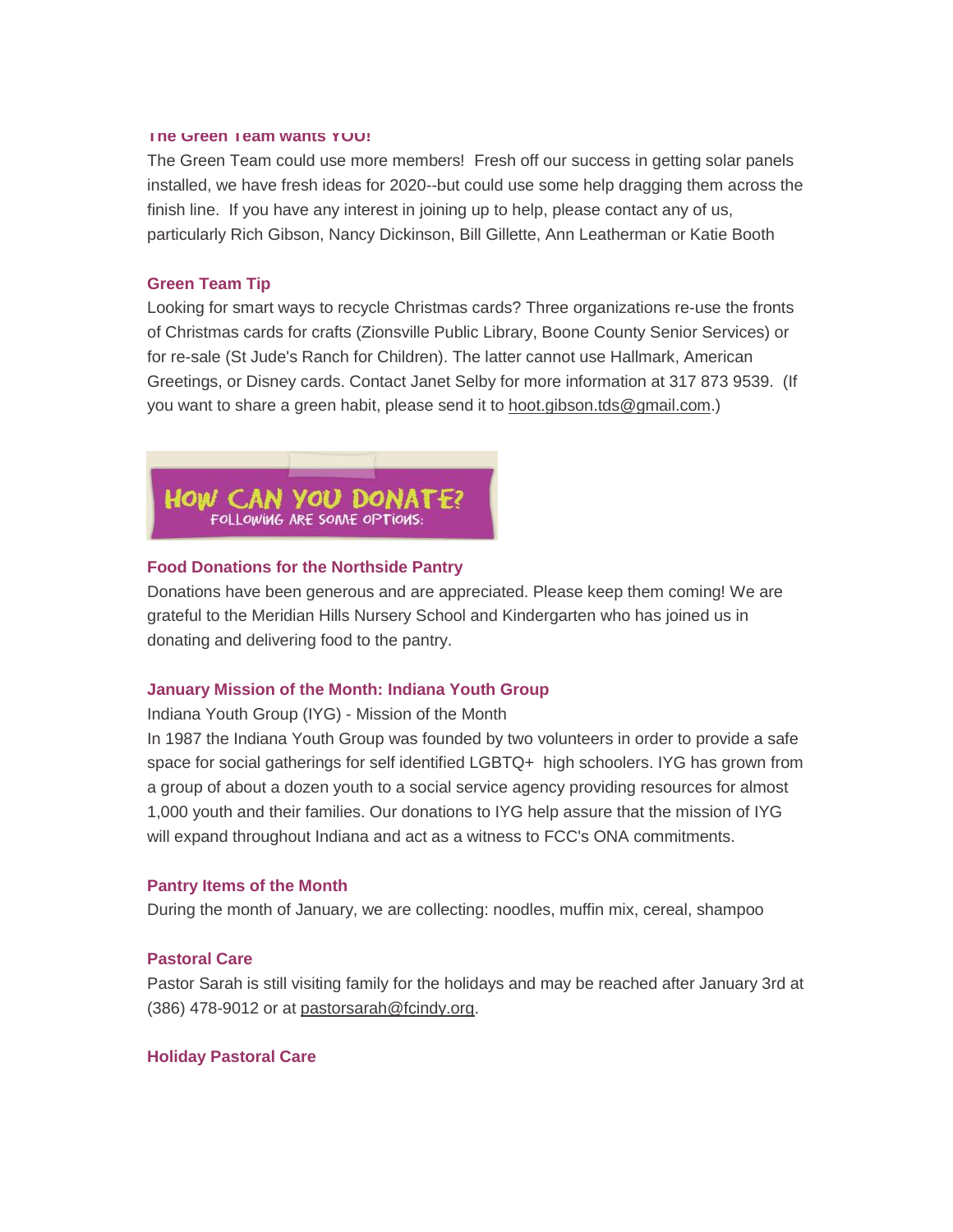#### **The Green Team wants YOU!**

The Green Team could use more members! Fresh off our success in getting solar panels installed, we have fresh ideas for 2020--but could use some help dragging them across the finish line. If you have any interest in joining up to help, please contact any of us, particularly Rich Gibson, Nancy Dickinson, Bill Gillette, Ann Leatherman or Katie Booth

#### **Green Team Tip**

Looking for smart ways to recycle Christmas cards? Three organizations re-use the fronts of Christmas cards for crafts (Zionsville Public Library, Boone County Senior Services) or for re-sale (St Jude's Ranch for Children). The latter cannot use Hallmark, American Greetings, or Disney cards. Contact Janet Selby for more information at 317 873 9539. (If you want to share a green habit, please send it to [hoot.gibson.tds@gmail.com.](mailto:hoot.gibson.tds@gmail.com))



#### **Food Donations for the Northside Pantry**

Donations have been generous and are appreciated. Please keep them coming! We are grateful to the Meridian Hills Nursery School and Kindergarten who has joined us in donating and delivering food to the pantry.

#### **January Mission of the Month: Indiana Youth Group**

Indiana Youth Group (IYG) - Mission of the Month

In 1987 the Indiana Youth Group was founded by two volunteers in order to provide a safe space for social gatherings for self identified LGBTQ+ high schoolers. IYG has grown from a group of about a dozen youth to a social service agency providing resources for almost 1,000 youth and their families. Our donations to IYG help assure that the mission of IYG will expand throughout Indiana and act as a witness to FCC's ONA commitments.

#### **Pantry Items of the Month**

During the month of January, we are collecting: noodles, muffin mix, cereal, shampoo

#### **Pastoral Care**

Pastor Sarah is still visiting family for the holidays and may be reached after January 3rd at (386) 478-9012 or at [pastorsarah@fcindy.org.](mailto:pastorsarah@fcindy.org)

#### **Holiday Pastoral Care**